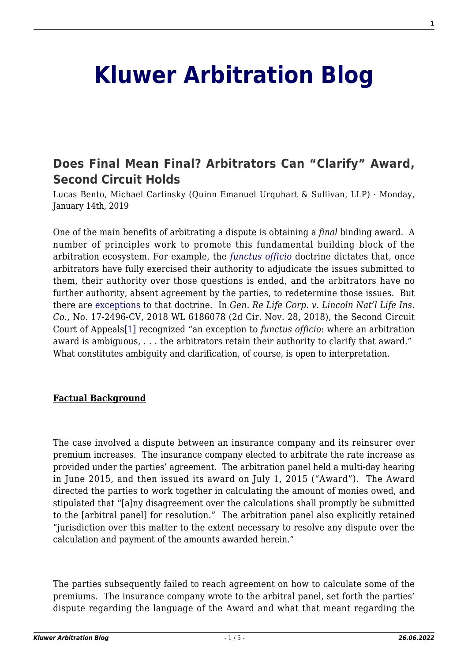# **[Kluwer Arbitration Blog](http://arbitrationblog.kluwerarbitration.com/)**

## **[Does Final Mean Final? Arbitrators Can "Clarify" Award,](http://arbitrationblog.kluwerarbitration.com/2019/01/14/does-final-mean-final-arbitrators-can-clarify-award-second-circuit-holds/) [Second Circuit Holds](http://arbitrationblog.kluwerarbitration.com/2019/01/14/does-final-mean-final-arbitrators-can-clarify-award-second-circuit-holds/)**

Lucas Bento, Michael Carlinsky (Quinn Emanuel Urquhart & Sullivan, LLP) · Monday, January 14th, 2019

One of the main benefits of arbitrating a dispute is obtaining a *final* binding award. A number of principles work to promote this fundamental building block of the arbitration ecosystem. For example, the *[functus officio](http://arbitrationblog.kluwerarbitration.com//arbitrationblog.kluwerarbitration.com/2015/08/31/whats-next-practical-ponderings-on-arbitrators-and-overturned-jurisdictional-awards/)* doctrine dictates that, once arbitrators have fully exercised their authority to adjudicate the issues submitted to them, their authority over those questions is ended, and the arbitrators have no further authority, absent agreement by the parties, to redetermine those issues. But there are [exceptions](http://arbitrationblog.kluwerarbitration.com//www.kluwerlawonline.com/abstract.php?area=Journals&id=ASAB2009043) to that doctrine. In *Gen. Re Life Corp. v. Lincoln Nat'l Life Ins. Co.*, No. 17-2496-CV, 2018 WL 6186078 (2d Cir. Nov. 28, 2018), the Second Circuit Court of Appeal[s\[1\]](#page-3-0) recognized "an exception to *functus officio*: where an arbitration award is ambiguous, . . . the arbitrators retain their authority to clarify that award." What constitutes ambiguity and clarification, of course, is open to interpretation.

#### <span id="page-0-0"></span>**Factual Background**

The case involved a dispute between an insurance company and its reinsurer over premium increases. The insurance company elected to arbitrate the rate increase as provided under the parties' agreement. The arbitration panel held a multi-day hearing in June 2015, and then issued its award on July 1, 2015 ("Award"). The Award directed the parties to work together in calculating the amount of monies owed, and stipulated that "[a]ny disagreement over the calculations shall promptly be submitted to the [arbitral panel] for resolution." The arbitration panel also explicitly retained "jurisdiction over this matter to the extent necessary to resolve any dispute over the calculation and payment of the amounts awarded herein."

The parties subsequently failed to reach agreement on how to calculate some of the premiums. The insurance company wrote to the arbitral panel, set forth the parties' dispute regarding the language of the Award and what that meant regarding the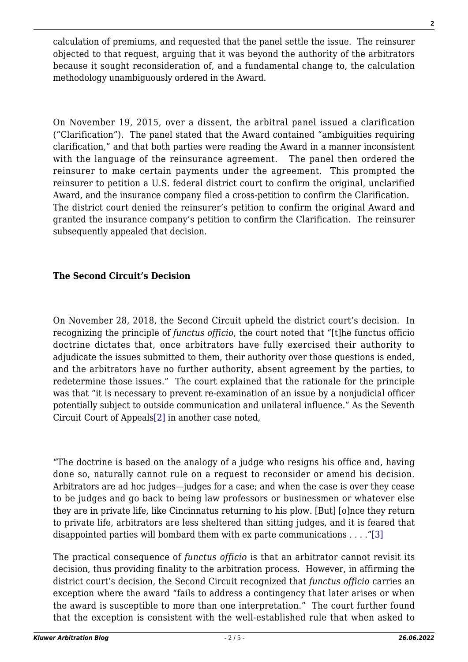calculation of premiums, and requested that the panel settle the issue. The reinsurer objected to that request, arguing that it was beyond the authority of the arbitrators because it sought reconsideration of, and a fundamental change to, the calculation methodology unambiguously ordered in the Award.

On November 19, 2015, over a dissent, the arbitral panel issued a clarification ("Clarification"). The panel stated that the Award contained "ambiguities requiring clarification," and that both parties were reading the Award in a manner inconsistent with the language of the reinsurance agreement. The panel then ordered the reinsurer to make certain payments under the agreement. This prompted the reinsurer to petition a U.S. federal district court to confirm the original, unclarified Award, and the insurance company filed a cross-petition to confirm the Clarification. The district court denied the reinsurer's petition to confirm the original Award and granted the insurance company's petition to confirm the Clarification. The reinsurer subsequently appealed that decision.

#### **The Second Circuit's Decision**

On November 28, 2018, the Second Circuit upheld the district court's decision. In recognizing the principle of *functus officio*, the court noted that "[t]he functus officio doctrine dictates that, once arbitrators have fully exercised their authority to adjudicate the issues submitted to them, their authority over those questions is ended, and the arbitrators have no further authority, absent agreement by the parties, to redetermine those issues." The court explained that the rationale for the principle was that "it is necessary to prevent re-examination of an issue by a nonjudicial officer potentially subject to outside communication and unilateral influence." As the Seventh Circuit Court of Appeals[\[2\]](#page-3-1) in another case noted,

<span id="page-1-0"></span>"The doctrine is based on the analogy of a judge who resigns his office and, having done so, naturally cannot rule on a request to reconsider or amend his decision. Arbitrators are ad hoc judges—judges for a case; and when the case is over they cease to be judges and go back to being law professors or businessmen or whatever else they are in private life, like Cincinnatus returning to his plow. [But] [o]nce they return to private life, arbitrators are less sheltered than sitting judges, and it is feared that disappointed parties will bombard them with ex parte communications . . . ."[\[3\]](#page-3-2)

<span id="page-1-1"></span>The practical consequence of *functus officio* is that an arbitrator cannot revisit its decision, thus providing finality to the arbitration process. However, in affirming the district court's decision, the Second Circuit recognized that *functus officio* carries an exception where the award "fails to address a contingency that later arises or when the award is susceptible to more than one interpretation." The court further found that the exception is consistent with the well-established rule that when asked to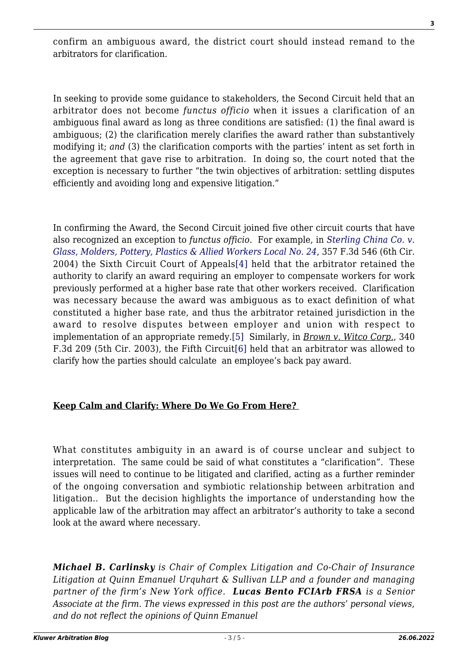confirm an ambiguous award, the district court should instead remand to the arbitrators for clarification.

In seeking to provide some guidance to stakeholders, the Second Circuit held that an arbitrator does not become *functus officio* when it issues a clarification of an ambiguous final award as long as three conditions are satisfied: (1) the final award is ambiguous; (2) the clarification merely clarifies the award rather than substantively modifying it; *and* (3) the clarification comports with the parties' intent as set forth in the agreement that gave rise to arbitration. In doing so, the court noted that the exception is necessary to further "the twin objectives of arbitration: settling disputes efficiently and avoiding long and expensive litigation."

<span id="page-2-0"></span>In confirming the Award, the Second Circuit joined five other circuit courts that have also recognized an exception to *functus officio.* For example, in *[Sterling China Co. v.](https://1.next.westlaw.com/Document/Id3b895f289f611d9b6ea9f5a173c4523/View/FullText.html?originationContext=docHeader&contextData=(sc.DocLink)&transitionType=Document&needToInjectTerms=False&docSource=b01e74207b864102a573f21100ffc174) [Glass, Molders, Pottery, Plastics & Allied Workers Local No. 24](https://1.next.westlaw.com/Document/Id3b895f289f611d9b6ea9f5a173c4523/View/FullText.html?originationContext=docHeader&contextData=(sc.DocLink)&transitionType=Document&needToInjectTerms=False&docSource=b01e74207b864102a573f21100ffc174)*, 357 F.3d 546 (6th Cir. 2004) the Sixth Circuit Court of Appeals[\[4\]](#page-3-3) held that the arbitrator retained the authority to clarify an award requiring an employer to compensate workers for work previously performed at a higher base rate that other workers received. Clarification was necessary because the award was ambiguous as to exact definition of what constituted a higher base rate, and thus the arbitrator retained jurisdiction in the award to resolve disputes between employer and union with respect to implementation of an appropriate remedy[.\[5\]](#page-3-4) Similarly, in *Brown v. Witco Corp.*, 340 F.3d 209 (5th Cir. 2003), the Fifth Circuit[\[6\]](#page-3-5) held that an arbitrator was allowed to clarify how the parties should calculate an employee's back pay award.

### <span id="page-2-2"></span><span id="page-2-1"></span>**Keep Calm and Clarify: Where Do We Go From Here?**

What constitutes ambiguity in an award is of course unclear and subject to interpretation. The same could be said of what constitutes a "clarification". These issues will need to continue to be litigated and clarified, acting as a further reminder of the ongoing conversation and symbiotic relationship between arbitration and litigation.. But the decision highlights the importance of understanding how the applicable law of the arbitration may affect an arbitrator's authority to take a second look at the award where necessary.

*Michael B. Carlinsky is Chair of Complex Litigation and Co-Chair of Insurance Litigation at Quinn Emanuel Urquhart & Sullivan LLP and a founder and managing partner of the firm's New York office. Lucas Bento FCIArb FRSA is a Senior Associate at the firm. The views expressed in this post are the authors' personal views, and do not reflect the opinions of Quinn Emanuel*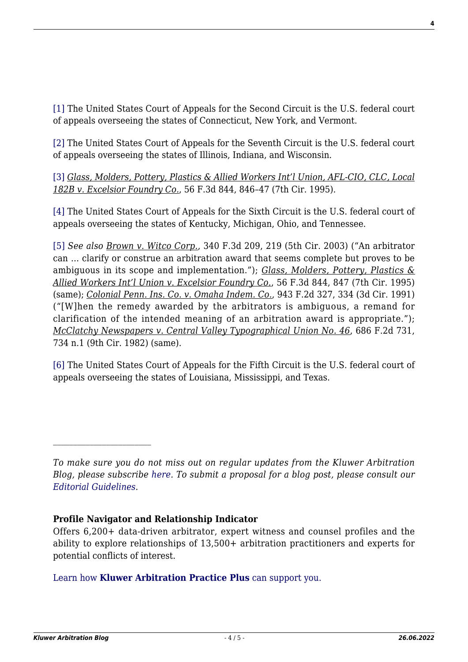<span id="page-3-0"></span>[\[1\]](#page-0-0) The United States Court of Appeals for the Second Circuit is the U.S. federal court of appeals overseeing the states of Connecticut, New York, and Vermont.

<span id="page-3-1"></span>[\[2\]](#page-1-0) The United States Court of Appeals for the Seventh Circuit is the U.S. federal court of appeals overseeing the states of Illinois, Indiana, and Wisconsin.

<span id="page-3-2"></span>[\[3\]](#page-1-1) *Glass, Molders, Pottery, Plastics & Allied Workers Int'l Union, AFL-CIO, CLC, Local 182B v. Excelsior Foundry Co.*, 56 F.3d 844, 846–47 (7th Cir. 1995).

<span id="page-3-3"></span>[\[4\]](#page-2-0) The United States Court of Appeals for the Sixth Circuit is the U.S. federal court of appeals overseeing the states of Kentucky, Michigan, Ohio, and Tennessee.

<span id="page-3-4"></span>[\[5\]](#page-2-1) *See also Brown v. Witco Corp.*, 340 F.3d 209, 219 (5th Cir. 2003) ("An arbitrator can … clarify or construe an arbitration award that seems complete but proves to be ambiguous in its scope and implementation."); *Glass, Molders, Pottery, Plastics & Allied Workers Int'l Union v. Excelsior Foundry Co.*, 56 F.3d 844, 847 (7th Cir. 1995) (same); *Colonial Penn. Ins. Co. v. Omaha Indem. Co.*, 943 F.2d 327, 334 (3d Cir. 1991) ("[W]hen the remedy awarded by the arbitrators is ambiguous, a remand for clarification of the intended meaning of an arbitration award is appropriate."); *McClatchy Newspapers v. Central Valley Typographical Union No. 46*, 686 F.2d 731, 734 n.1 (9th Cir. 1982) (same).

<span id="page-3-5"></span>[\[6\]](#page-2-2) The United States Court of Appeals for the Fifth Circuit is the U.S. federal court of appeals overseeing the states of Louisiana, Mississippi, and Texas.

*To make sure you do not miss out on regular updates from the Kluwer Arbitration Blog, please subscribe [here](http://arbitrationblog.kluwerarbitration.com/newsletter/). To submit a proposal for a blog post, please consult our [Editorial Guidelines.](http://arbitrationblog.kluwerarbitration.com/editorial-guidelines/)*

#### **Profile Navigator and Relationship Indicator**

Offers 6,200+ data-driven arbitrator, expert witness and counsel profiles and the ability to explore relationships of 13,500+ arbitration practitioners and experts for potential conflicts of interest.

[Learn how](https://www.wolterskluwer.com/en/solutions/kluwerarbitration/practiceplus?utm_source=arbitrationblog&utm_medium=articleCTA&utm_campaign=article-banner) **[Kluwer Arbitration Practice Plus](https://www.wolterskluwer.com/en/solutions/kluwerarbitration/practiceplus?utm_source=arbitrationblog&utm_medium=articleCTA&utm_campaign=article-banner)** [can support you.](https://www.wolterskluwer.com/en/solutions/kluwerarbitration/practiceplus?utm_source=arbitrationblog&utm_medium=articleCTA&utm_campaign=article-banner)

 $\mathcal{L}_\text{max}$